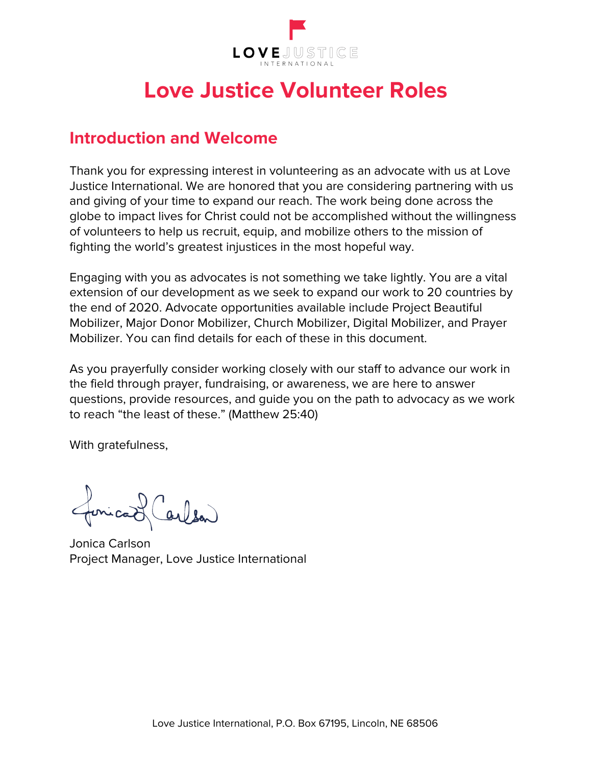

# **Love Justice Volunteer Roles**

# **Introduction and Welcome**

Thank you for expressing interest in volunteering as an advocate with us at Love Justice International. We are honored that you are considering partnering with us and giving of your time to expand our reach. The work being done across the globe to impact lives for Christ could not be accomplished without the willingness of volunteers to help us recruit, equip, and mobilize others to the mission of fighting the world's greatest injustices in the most hopeful way.

Engaging with you as advocates is not something we take lightly. You are a vital extension of our development as we seek to expand our work to 20 countries by the end of 2020. Advocate opportunities available include Project Beautiful Mobilizer, Major Donor Mobilizer, Church Mobilizer, Digital Mobilizer, and Prayer Mobilizer. You can find details for each of these in this document.

As you prayerfully consider working closely with our staff to advance our work in the field through prayer, fundraising, or awareness, we are here to answer questions, provide resources, and guide you on the path to advocacy as we work to reach "the least of these." (Matthew 25:40)

With gratefulness,

foricad (arlen)

Jonica Carlson Project Manager, Love Justice International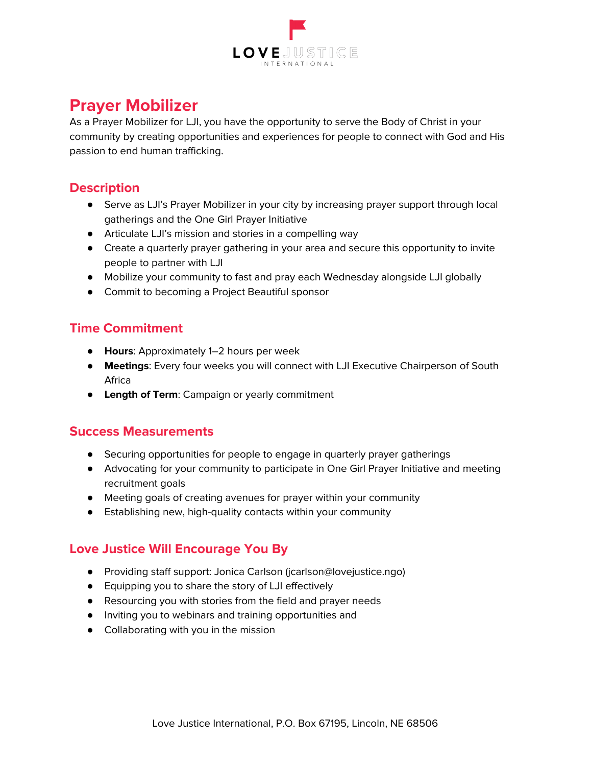

# **Prayer Mobilizer**

As a Prayer Mobilizer for LJI, you have the opportunity to serve the Body of Christ in your community by creating opportunities and experiences for people to connect with God and His passion to end human trafficking.

### **Description**

- Serve as LJI's Prayer Mobilizer in your city by increasing prayer support through local gatherings and the One Girl Prayer Initiative
- Articulate LJI's mission and stories in a compelling way
- Create a quarterly prayer gathering in your area and secure this opportunity to invite people to partner with LJI
- Mobilize your community to fast and pray each Wednesday alongside LJI globally
- Commit to becoming a Project Beautiful sponsor

### **Time Commitment**

- **Hours**: Approximately 1–2 hours per week
- **Meetings**: Every four weeks you will connect with LJI Executive Chairperson of South Africa
- **Length of Term**: Campaign or yearly commitment

#### **Success Measurements**

- Securing opportunities for people to engage in quarterly prayer gatherings
- Advocating for your community to participate in One Girl Prayer Initiative and meeting recruitment goals
- Meeting goals of creating avenues for prayer within your community
- Establishing new, high-quality contacts within your community

- Providing staff support: Jonica Carlson (jcarlson@lovejustice.ngo)
- Equipping you to share the story of LJI effectively
- Resourcing you with stories from the field and prayer needs
- Inviting you to webinars and training opportunities and
- Collaborating with you in the mission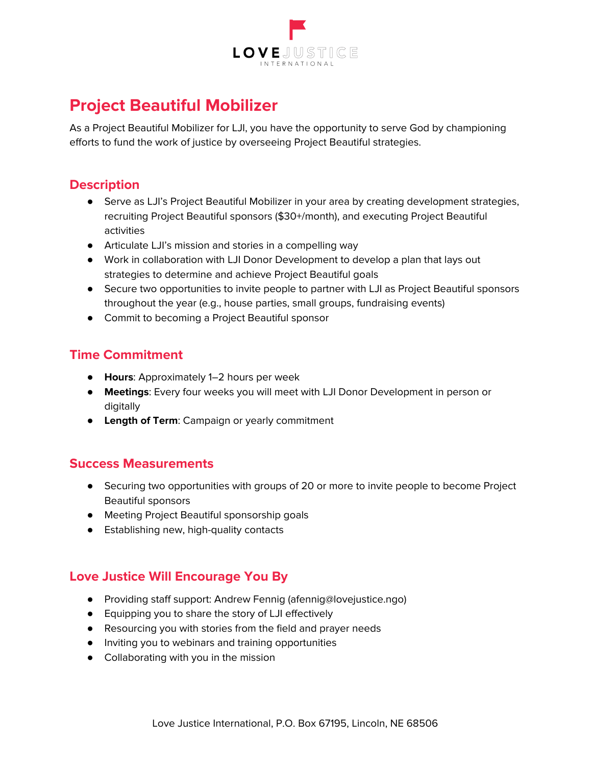

# **Project Beautiful Mobilizer**

As a Project Beautiful Mobilizer for LJI, you have the opportunity to serve God by championing efforts to fund the work of justice by overseeing Project Beautiful strategies.

# **Description**

- Serve as LJI's Project Beautiful Mobilizer in your area by creating development strategies, recruiting Project Beautiful sponsors (\$30+/month), and executing Project Beautiful activities
- Articulate LJI's mission and stories in a compelling way
- Work in collaboration with LJI Donor Development to develop a plan that lays out strategies to determine and achieve Project Beautiful goals
- Secure two opportunities to invite people to partner with LJI as Project Beautiful sponsors throughout the year (e.g., house parties, small groups, fundraising events)
- Commit to becoming a Project Beautiful sponsor

# **Time Commitment**

- **Hours**: Approximately 1–2 hours per week
- **Meetings**: Every four weeks you will meet with LJI Donor Development in person or digitally
- **Length of Term**: Campaign or yearly commitment

#### **Success Measurements**

- Securing two opportunities with groups of 20 or more to invite people to become Project Beautiful sponsors
- Meeting Project Beautiful sponsorship goals
- Establishing new, high-quality contacts

- Providing staff support: Andrew Fennig (afennig@lovejustice.ngo)
- Equipping you to share the story of LJI effectively
- Resourcing you with stories from the field and prayer needs
- Inviting you to webinars and training opportunities
- Collaborating with you in the mission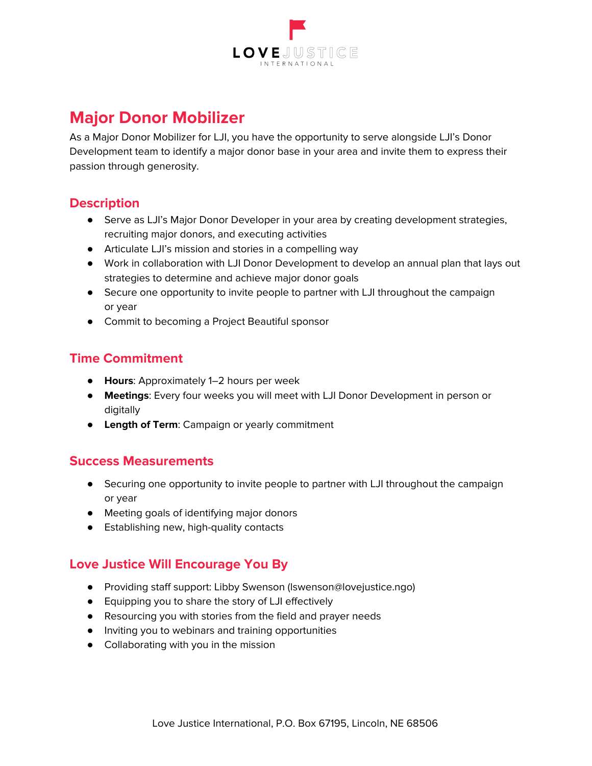

# **Major Donor Mobilizer**

As a Major Donor Mobilizer for LJI, you have the opportunity to serve alongside LJI's Donor Development team to identify a major donor base in your area and invite them to express their passion through generosity.

# **Description**

- **•** Serve as LJI's Major Donor Developer in your area by creating development strategies, recruiting major donors, and executing activities
- Articulate LJI's mission and stories in a compelling way
- Work in collaboration with LJI Donor Development to develop an annual plan that lays out strategies to determine and achieve major donor goals
- Secure one opportunity to invite people to partner with LJI throughout the campaign or year
- Commit to becoming a Project Beautiful sponsor

# **Time Commitment**

- **Hours**: Approximately 1–2 hours per week
- **Meetings**: Every four weeks you will meet with LJI Donor Development in person or digitally
- **Length of Term**: Campaign or yearly commitment

#### **Success Measurements**

- Securing one opportunity to invite people to partner with LJI throughout the campaign or year
- Meeting goals of identifying major donors
- Establishing new, high-quality contacts

- Providing staff support: Libby Swenson (lswenson@lovejustice.ngo)
- Equipping you to share the story of LJI effectively
- Resourcing you with stories from the field and prayer needs
- Inviting you to webinars and training opportunities
- Collaborating with you in the mission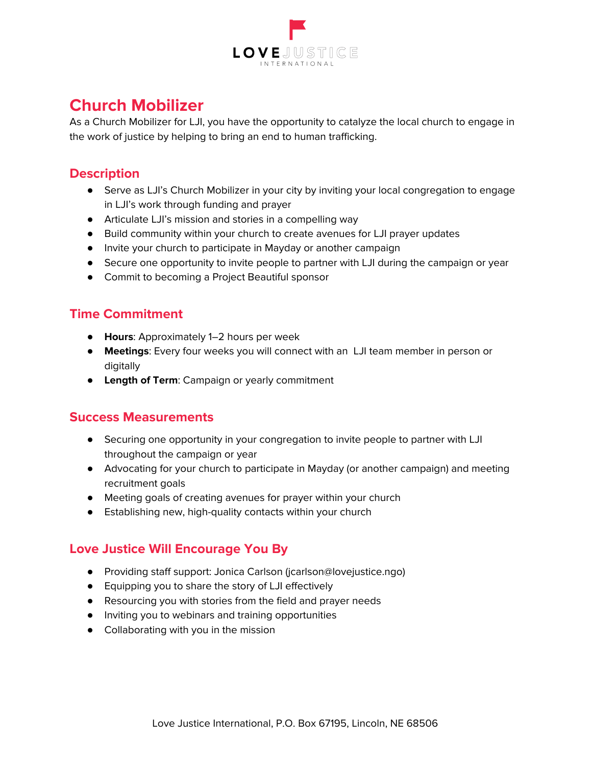

# **Church Mobilizer**

As a Church Mobilizer for LJI, you have the opportunity to catalyze the local church to engage in the work of justice by helping to bring an end to human trafficking.

### **Description**

- Serve as LJI's Church Mobilizer in your city by inviting your local congregation to engage in LJI's work through funding and prayer
- Articulate LJI's mission and stories in a compelling way
- Build community within your church to create avenues for LJI prayer updates
- Invite your church to participate in Mayday or another campaign
- Secure one opportunity to invite people to partner with LJI during the campaign or year
- Commit to becoming a Project Beautiful sponsor

### **Time Commitment**

- **Hours**: Approximately 1–2 hours per week
- **Meetings**: Every four weeks you will connect with an LJI team member in person or digitally
- **Length of Term**: Campaign or yearly commitment

#### **Success Measurements**

- Securing one opportunity in your congregation to invite people to partner with LJI throughout the campaign or year
- Advocating for your church to participate in Mayday (or another campaign) and meeting recruitment goals
- Meeting goals of creating avenues for prayer within your church
- Establishing new, high-quality contacts within your church

- Providing staff support: Jonica Carlson (jcarlson@lovejustice.ngo)
- Equipping you to share the story of LJI effectively
- Resourcing you with stories from the field and prayer needs
- Inviting you to webinars and training opportunities
- Collaborating with you in the mission